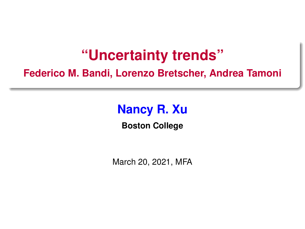# **"Uncertainty trends"**

<span id="page-0-0"></span>**Federico M. Bandi, Lorenzo Bretscher, Andrea Tamoni**

# **Nancy R. Xu**

**Boston College**

March 20, 2021, MFA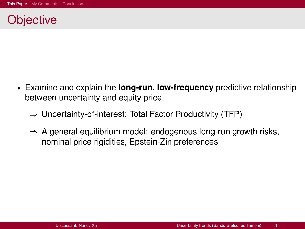#### <span id="page-1-0"></span>**Objective**

- § Examine and explain the **long-run**, **low-frequency** predictive relationship between uncertainty and equity price
	- $\Rightarrow$  Uncertainty-of-interest: Total Factor Productivity (TFP)
	- $\Rightarrow$  A general equilibrium model: endogenous long-run growth risks, nominal price rigidities, Epstein-Zin preferences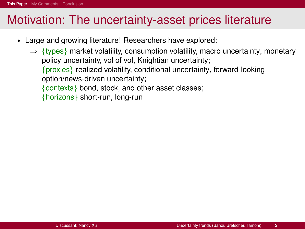- ► Large and growing literature! Researchers have explored:
	- $\Rightarrow$  {types} market volatility, consumption volatility, macro uncertainty, monetary policy uncertainty, vol of vol, Knightian uncertainty; {proxies} realized volatility, conditional uncertainty, forward-looking option/news-driven uncertainty; {contexts} bond, stock, and other asset classes; {horizons} short-run, long-run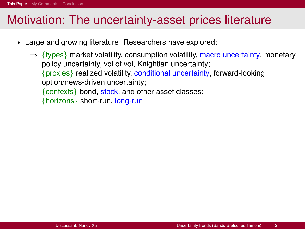- § Large and growing literature! Researchers have explored:
	- $\Rightarrow$  {types} market volatility, consumption volatility, macro uncertainty, monetary policy uncertainty, vol of vol, Knightian uncertainty; {proxies} realized volatility, conditional uncertainty, forward-looking option/news-driven uncertainty; {contexts} bond, stock, and other asset classes; {horizons} short-run, long-run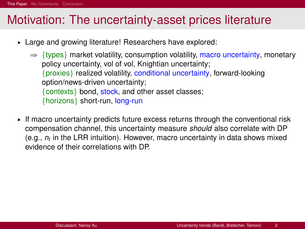- § Large and growing literature! Researchers have explored:
	- $\Rightarrow$  {types} market volatility, consumption volatility, macro uncertainty, monetary policy uncertainty, vol of vol, Knightian uncertainty; {proxies} realized volatility, conditional uncertainty, forward-looking option/news-driven uncertainty; {contexts} bond, stock, and other asset classes; {horizons} short-run, long-run
- $\triangleright$  If macro uncertainty predicts future excess returns through the conventional risk compensation channel, this uncertainty measure *should* also correlate with DP (e.g., *n<sup>t</sup>* in the LRR intuition). However, macro uncertainty in data shows mixed evidence of their correlations with DP.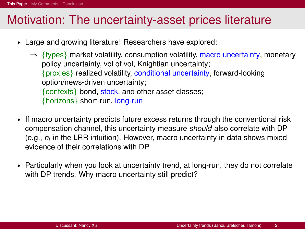- § Large and growing literature! Researchers have explored:
	- $\Rightarrow$  {types} market volatility, consumption volatility, macro uncertainty, monetary policy uncertainty, vol of vol, Knightian uncertainty; {proxies} realized volatility, conditional uncertainty, forward-looking option/news-driven uncertainty; {contexts} bond, stock, and other asset classes; {horizons} short-run, long-run
- $\triangleright$  If macro uncertainty predicts future excess returns through the conventional risk compensation channel, this uncertainty measure *should* also correlate with DP (e.g., *n<sup>t</sup>* in the LRR intuition). However, macro uncertainty in data shows mixed evidence of their correlations with DP.
- $\triangleright$  Particularly when you look at uncertainty trend, at long-run, they do not correlate with DP trends. Why macro uncertainty still predict?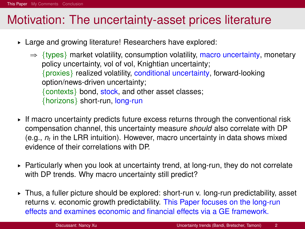- § Large and growing literature! Researchers have explored:
	- $\Rightarrow$  {types} market volatility, consumption volatility, macro uncertainty, monetary policy uncertainty, vol of vol, Knightian uncertainty; {proxies} realized volatility, conditional uncertainty, forward-looking option/news-driven uncertainty; {contexts} bond, stock, and other asset classes; {horizons} short-run, long-run
- $\triangleright$  If macro uncertainty predicts future excess returns through the conventional risk compensation channel, this uncertainty measure *should* also correlate with DP (e.g., *n<sup>t</sup>* in the LRR intuition). However, macro uncertainty in data shows mixed evidence of their correlations with DP.
- $\triangleright$  Particularly when you look at uncertainty trend, at long-run, they do not correlate with DP trends. Why macro uncertainty still predict?
- § Thus, a fuller picture should be explored: short-run v. long-run predictability, asset returns v. economic growth predictability. This Paper focuses on the long-run effects and examines economic and financial effects via a GE framework.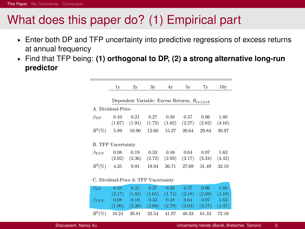# What does this paper do? (1) Empirical part

- § Enter both DP and TFP uncertainty into predictive regressions of excess returns at annual frequency
- § Find that TFP being: **(1) orthogonal to DP, (2) a strong alternative long-run predictor**

|               | 1v                                                | 2v                        | 3v             | 4v                                                    | 5v             | 7v             | 10v            |
|---------------|---------------------------------------------------|---------------------------|----------------|-------------------------------------------------------|----------------|----------------|----------------|
|               | Dependent Variable: Excess Returns, $R_{t+1,t+h}$ |                           |                |                                                       |                |                |                |
|               | A. Dividend-Price                                 |                           |                |                                                       |                |                |                |
| $\beta_{DP}$  | 0.10<br>(1.67)                                    | 0.21<br>(1.91)            | 0.27<br>(1.72) | 0.38<br>(1.82)                                        | 0.57<br>(2.27) | 0.96<br>(2.82) | 1.80<br>(4.16) |
| $R^2(\%)$     | 5.89                                              | 10.90                     | 12.60          | 15.27                                                 | 20.64          | 29.84          | 39.97          |
|               | <b>B. TFP Uncertainty</b>                         |                           |                |                                                       |                |                |                |
| $\beta_{TFP}$ | 0.08                                              | 0.19<br>$(2.02)$ $(2.36)$ | 0.33<br>(2.72) | 0.48<br>(2.93)                                        | 0.64<br>(3.17) | 0.97<br>(3.34) | 1.63<br>(4.42) |
| $R^2(\%)$     | 4.35                                              | 9.91                      | 19.94          | 26.71                                                 | 27.69          | 31.49          | 32.18          |
|               | C. Dividend-Price & TFP Uncertainty               |                           |                |                                                       |                |                |                |
| $\beta_{DP}$  | 0.10                                              | 0.21                      | 0.27           | 0.38                                                  | 0.57           | 0.96           | 1.80           |
|               |                                                   |                           |                | $(2.17)$ $(1.85)$ $(1.65)$ $(1.74)$ $(2.18)$ $(2.69)$ |                |                | (4.10)         |
| $\beta$ mmn   | $0.08$ $0.10$ $0.33$ $0.48$                       |                           |                |                                                       |                | $0.64$ $0.07$  | -1-62.         |

 $(1.90)$ 

10.24

 $R^2(\%)$ 

 $(2.26)$ 

20.81

 $(2.60)$ 

32.54

 $(2.79)$ 

41.97

 $(3.03)$ 

48.33

 $(3.17)$ 

61.33

 $(4.37)$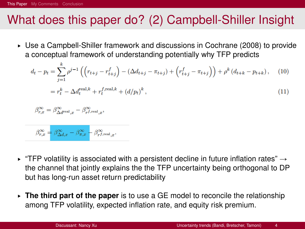# What does this paper do? (2) Campbell-Shiller Insight

► Use a Campbell-Shiller framework and discussions in Cochrane (2008) to provide a conceptual framework of understanding potentially why TFP predicts

$$
d_{t} - p_{t} = \sum_{j=1}^{k} \rho^{j-1} \left( \left( r_{t+j} - r_{t+j}^{f} \right) - \left( \Delta d_{t+j} - \pi_{t+j} \right) + \left( r_{t+j}^{f} - \pi_{t+j} \right) \right) + \rho^{k} \left( d_{t+k} - p_{t+k} \right), \quad (10)
$$

$$
= r_{t}^{k} - \Delta d_{t}^{\text{real},k} + r_{t}^{f,\text{real},k} + \left( d/p_{t} \right)^{k}, \quad (11)
$$

$$
\beta_{r,x}^\infty = \beta_{\Delta d^{\mathrm{real}},x}^\infty - \beta_{r^{f,\mathrm{real}},x}^\infty,
$$

$$
\beta_{r,x}^\infty = \beta_{\Delta d,x}^\infty - \beta_{\pi,x}^\infty - \beta_{rf,\mathrm{real},x}^\infty.
$$

- "TFP volatility is associated with a persistent decline in future inflation rates"  $\rightarrow$ the channel that jointly explains the the TFP uncertainty being orthogonal to DP but has long-run asset return predictability
- § **The third part of the paper** is to use a GE model to reconcile the relationship among TFP volatility, expected inflation rate, and equity risk premium.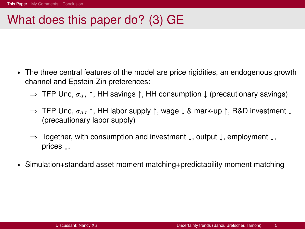# What does this paper do? (3) GE

- $\triangleright$  The three central features of the model are price rigidities, an endogenous growth channel and Epstein-Zin preferences:
	- $\Rightarrow$  TFP Unc,  $\sigma_{a,t} \uparrow$ , HH savings  $\uparrow$ , HH consumption  $\downarrow$  (precautionary savings)
	- $\Rightarrow$  TFP Unc,  $\sigma_{a,t}$   $\uparrow$ , HH labor supply  $\uparrow$ , wage  $\downarrow$  & mark-up  $\uparrow$ , R&D investment  $\downarrow$ (precautionary labor supply)
	- $\Rightarrow$  Together, with consumption and investment  $\downarrow$ , output  $\downarrow$ , employment  $\downarrow$ , prices  $\downarrow$ .
- ► Simulation+standard asset moment matching+predictability moment matching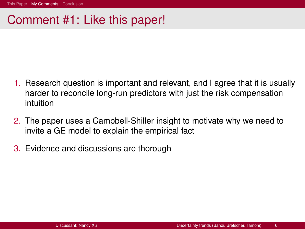### <span id="page-10-0"></span>Comment #1: Like this paper!

- 1. Research question is important and relevant, and I agree that it is usually harder to reconcile long-run predictors with just the risk compensation intuition
- 2. The paper uses a Campbell-Shiller insight to motivate why we need to invite a GE model to explain the empirical fact
- 3. Evidence and discussions are thorough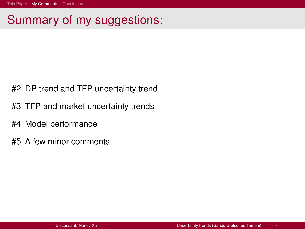# Summary of my suggestions:

- #2 DP trend and TFP uncertainty trend
- #3 TFP and market uncertainty trends
- #4 Model performance
- #5 A few minor comments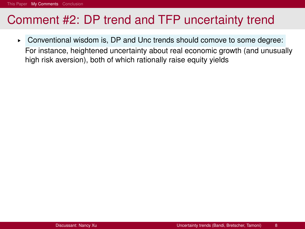# Comment #2: DP trend and TFP uncertainty trend

§ Conventional wisdom is, DP and Unc trends should comove to some degree: For instance, heightened uncertainty about real economic growth (and unusually high risk aversion), both of which rationally raise equity yields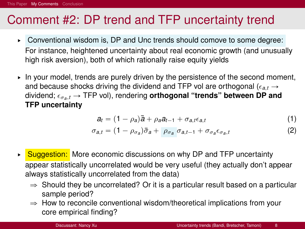# Comment #2: DP trend and TFP uncertainty trend

- ▶ Conventional wisdom is, DP and Unc trends should comove to some degree: For instance, heightened uncertainty about real economic growth (and unusually high risk aversion), both of which rationally raise equity yields
- $\triangleright$  In your model, trends are purely driven by the persistence of the second moment, and because shocks driving the dividend and TFP vol are orthogonal ( $\epsilon_{a,t} \rightarrow$ dividend;  $\epsilon_{\sigma a,t}$  → TFP vol), rendering **orthogonal "trends" between DP and TFP uncertainty**

$$
a_t = (1 - \rho_a)\bar{a} + \rho_a a_{t-1} + \sigma_{a,t} \epsilon_{a,t} \tag{1}
$$

$$
\sigma_{a,t} = (1 - \rho_{\sigma_a})\bar{\sigma}_a + \rho_{\sigma_a} \sigma_{a,t-1} + \sigma_{\sigma_a} \epsilon_{\sigma_a,t} \tag{2}
$$

- ► Suggestion: More economic discussions on why DP and TFP uncertainty appear statistically uncorrelated would be very useful (they actually don't appear always statistically uncorrelated from the data)
	- $\Rightarrow$  Should they be uncorrelated? Or it is a particular result based on a particular sample period?
	- $\Rightarrow$  How to reconcile conventional wisdom/theoretical implications from your core empirical finding?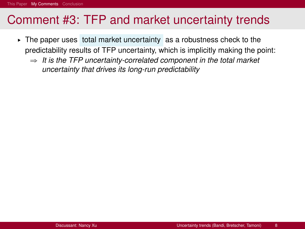# Comment #3: TFP and market uncertainty trends

- § The paper uses total market uncertainty as a robustness check to the predictability results of TFP uncertainty, which is implicitly making the point:
	- $\Rightarrow$  It is the TFP uncertainty-correlated component in the total market *uncertainty that drives its long-run predictability*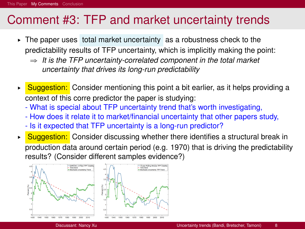# Comment #3: TFP and market uncertainty trends

- § The paper uses total market uncertainty as a robustness check to the predictability results of TFP uncertainty, which is implicitly making the point:
	- $\Rightarrow$  It is the TFP uncertainty-correlated component in the total market *uncertainty that drives its long-run predictability*
- ► Suggestion: Consider mentioning this point a bit earlier, as it helps providing a context of this corre predictor the paper is studying:
	- What is special about TFP uncertainty trend that's worth investigating,
	- How does it relate it to market/financial uncertainty that other papers study,
	- Is it expected that TFP uncertainty is a long-run predictor?
- ► Suggestion: Consider discussing whether there identifies a structural break in production data around certain period (e.g. 1970) that is driving the predictability results? (Consider different samples evidence?)

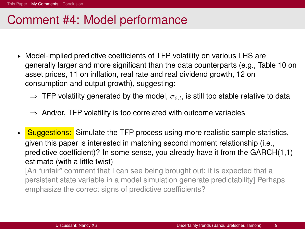# Comment #4: Model performance

- § Model-implied predictive coefficients of TFP volatility on various LHS are generally larger and more significant than the data counterparts (e.g., Table 10 on asset prices, 11 on inflation, real rate and real dividend growth, 12 on consumption and output growth), suggesting:
	- $\Rightarrow$  TFP volatility generated by the model,  $\sigma_{a,t}$ , is still too stable relative to data
	- $\Rightarrow$  And/or, TFP volatility is too correlated with outcome variables
- $\triangleright$  Suggestions: Simulate the TFP process using more realistic sample statistics, given this paper is interested in matching second moment relationship (i.e., predictive coefficient)? In some sense, you already have it from the GARCH(1,1) estimate (with a little twist)

[An "unfair" comment that I can see being brought out: it is expected that a persistent state variable in a model simulation generate predictability] Perhaps emphasize the correct signs of predictive coefficients?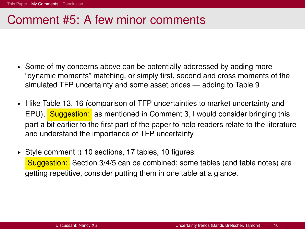# Comment #5: A few minor comments

- ► Some of my concerns above can be potentially addressed by adding more "dynamic moments" matching, or simply first, second and cross moments of the simulated TFP uncertainty and some asset prices — adding to Table 9
- § I like Table 13, 16 (comparison of TFP uncertainties to market uncertainty and EPU), Suggestion: as mentioned in Comment 3, I would consider bringing this part a bit earlier to the first part of the paper to help readers relate to the literature and understand the importance of TFP uncertainty
- § Style comment :) 10 sections, 17 tables, 10 figures. Suggestion: Section 3/4/5 can be combined; some tables (and table notes) are getting repetitive, consider putting them in one table at a glance.